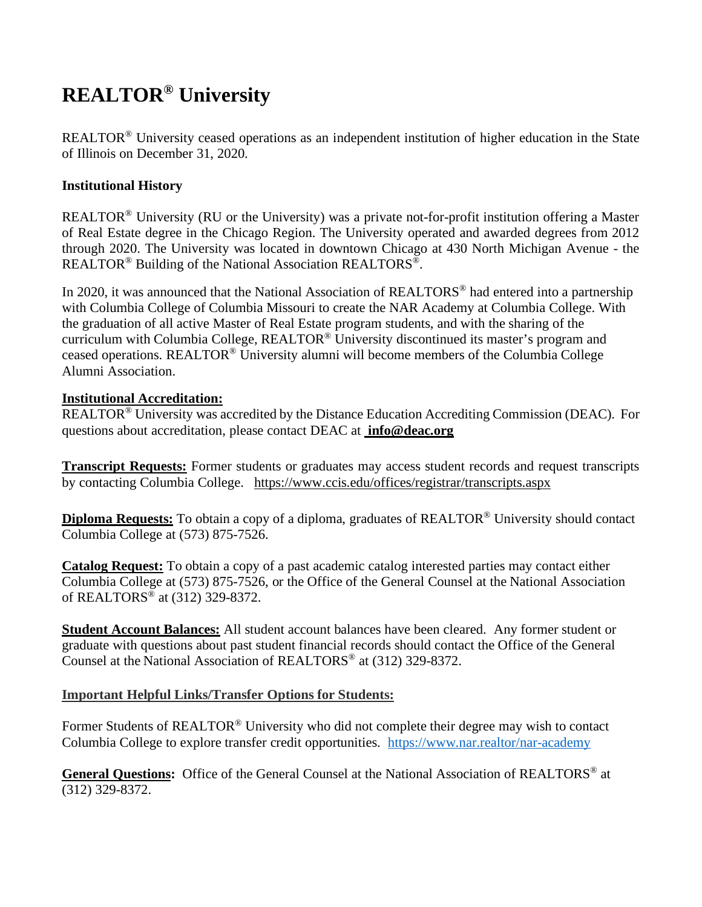# **REALTOR® University**

REALTOR® University ceased operations as an independent institution of higher education in the State of Illinois on December 31, 2020.

## **Institutional History**

REALTOR® University (RU or the University) was a private not-for-profit institution offering a Master of Real Estate degree in the Chicago Region. The University operated and awarded degrees from 2012 through 2020. The University was located in downtown Chicago at 430 North Michigan Avenue - the REALTOR® Building of the National Association REALTORS®.

In 2020, it was announced that the National Association of REALTORS<sup>®</sup> had entered into a partnership with Columbia College of Columbia Missouri to create the NAR Academy at Columbia College. With the graduation of all active Master of Real Estate program students, and with the sharing of the curriculum with Columbia College, REALTOR® University discontinued its master's program and ceased operations. REALTOR® University alumni will become members of the Columbia College Alumni Association.

## **Institutional Accreditation:**

REALTOR® University was accredited by the Distance Education Accrediting Commission (DEAC). For questions about accreditation, please contact DEAC at **[info@deac.org](mailto:info@deac.org)**

**Transcript Requests:** Former students or graduates may access student records and request transcripts by contacting Columbia College. <https://www.ccis.edu/offices/registrar/transcripts.aspx>

**Diploma Requests:** To obtain a copy of a diploma, graduates of REALTOR® University should contact Columbia College at (573) 875-7526.

**Catalog Request:** To obtain a copy of a past academic catalog interested parties may contact either Columbia College at (573) 875-7526, or the Office of the General Counsel at the National Association of REALTORS® at (312) 329-8372.

**Student Account Balances:** All student account balances have been cleared. Any former student or graduate with questions about past student financial records should contact the Office of the General Counsel at the National Association of REALTORS® at (312) 329-8372.

# **Important Helpful Links/Transfer Options for Students:**

Former Students of REALTOR<sup>®</sup> University who did not complete their degree may wish to contact Columbia College to explore transfer credit opportunities. <https://www.nar.realtor/nar-academy>

**General Questions:** Office of the General Counsel at the National Association of REALTORS® at (312) 329-8372.